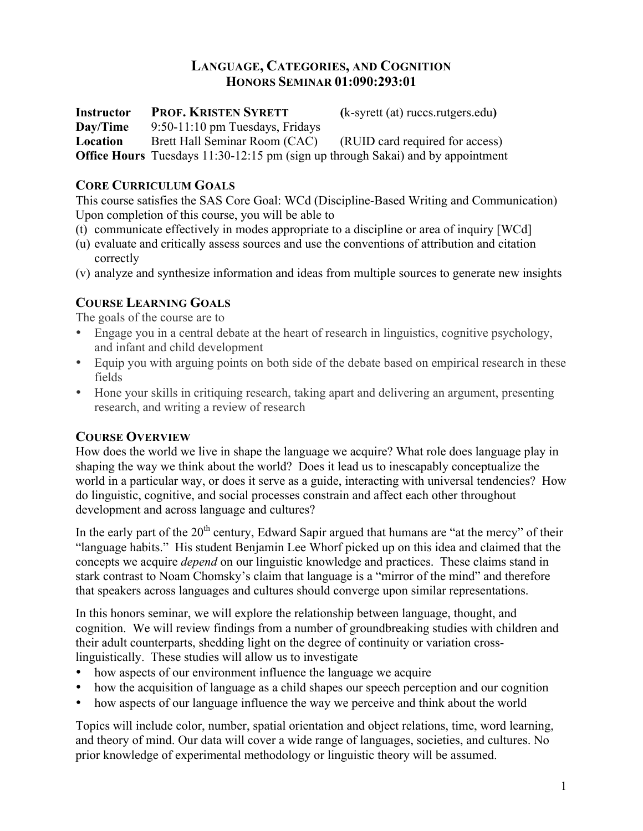# **LANGUAGE, CATEGORIES, AND COGNITION HONORS SEMINAR 01:090:293:01**

**Instructor PROF. KRISTEN SYRETT (**k-syrett (at) ruccs.rutgers.edu**) Day/Time** 9:50-11:10 pm Tuesdays, Fridays **Location** Brett Hall Seminar Room (CAC) (RUID card required for access) **Office Hours** Tuesdays 11:30-12:15 pm (sign up through Sakai) and by appointment

## **CORE CURRICULUM GOALS**

This course satisfies the SAS Core Goal: WCd (Discipline-Based Writing and Communication) Upon completion of this course, you will be able to

- (t) communicate effectively in modes appropriate to a discipline or area of inquiry [WCd]
- (u) evaluate and critically assess sources and use the conventions of attribution and citation correctly
- (v) analyze and synthesize information and ideas from multiple sources to generate new insights

# **COURSE LEARNING GOALS**

The goals of the course are to

- Engage you in a central debate at the heart of research in linguistics, cognitive psychology, and infant and child development
- Equip you with arguing points on both side of the debate based on empirical research in these fields
- Hone your skills in critiquing research, taking apart and delivering an argument, presenting research, and writing a review of research

## **COURSE OVERVIEW**

How does the world we live in shape the language we acquire? What role does language play in shaping the way we think about the world? Does it lead us to inescapably conceptualize the world in a particular way, or does it serve as a guide, interacting with universal tendencies? How do linguistic, cognitive, and social processes constrain and affect each other throughout development and across language and cultures?

In the early part of the  $20<sup>th</sup>$  century, Edward Sapir argued that humans are "at the mercy" of their "language habits." His student Benjamin Lee Whorf picked up on this idea and claimed that the concepts we acquire *depend* on our linguistic knowledge and practices. These claims stand in stark contrast to Noam Chomsky's claim that language is a "mirror of the mind" and therefore that speakers across languages and cultures should converge upon similar representations.

In this honors seminar, we will explore the relationship between language, thought, and cognition. We will review findings from a number of groundbreaking studies with children and their adult counterparts, shedding light on the degree of continuity or variation crosslinguistically. These studies will allow us to investigate

- how aspects of our environment influence the language we acquire
- how the acquisition of language as a child shapes our speech perception and our cognition
- how aspects of our language influence the way we perceive and think about the world

Topics will include color, number, spatial orientation and object relations, time, word learning, and theory of mind. Our data will cover a wide range of languages, societies, and cultures. No prior knowledge of experimental methodology or linguistic theory will be assumed.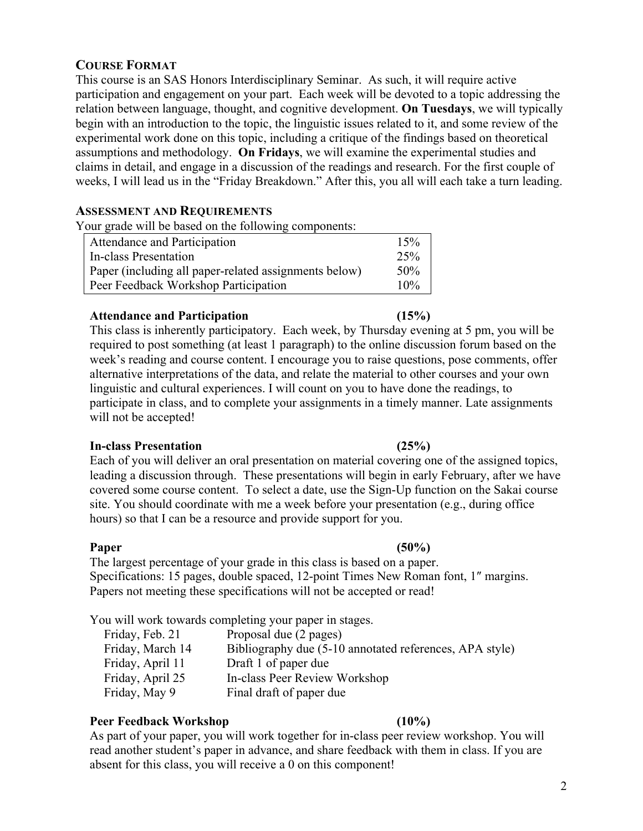## **COURSE FORMAT**

This course is an SAS Honors Interdisciplinary Seminar. As such, it will require active participation and engagement on your part. Each week will be devoted to a topic addressing the relation between language, thought, and cognitive development. **On Tuesdays**, we will typically begin with an introduction to the topic, the linguistic issues related to it, and some review of the experimental work done on this topic, including a critique of the findings based on theoretical assumptions and methodology. **On Fridays**, we will examine the experimental studies and claims in detail, and engage in a discussion of the readings and research. For the first couple of weeks, I will lead us in the "Friday Breakdown." After this, you all will each take a turn leading.

## **ASSESSMENT AND REQUIREMENTS**

Your grade will be based on the following components:

| Attendance and Participation                          | 15%    |
|-------------------------------------------------------|--------|
| In-class Presentation                                 | 25%    |
| Paper (including all paper-related assignments below) | 50%    |
| Peer Feedback Workshop Participation                  | $10\%$ |

#### **Attendance and Participation (15%)**

This class is inherently participatory. Each week, by Thursday evening at 5 pm, you will be required to post something (at least 1 paragraph) to the online discussion forum based on the week's reading and course content. I encourage you to raise questions, pose comments, offer alternative interpretations of the data, and relate the material to other courses and your own linguistic and cultural experiences. I will count on you to have done the readings, to participate in class, and to complete your assignments in a timely manner. Late assignments will not be accepted!

#### **In-class Presentation (25%)**

Each of you will deliver an oral presentation on material covering one of the assigned topics, leading a discussion through. These presentations will begin in early February, after we have covered some course content. To select a date, use the Sign-Up function on the Sakai course site. You should coordinate with me a week before your presentation (e.g., during office hours) so that I can be a resource and provide support for you.

**Paper (50%)** The largest percentage of your grade in this class is based on a paper. Specifications: 15 pages, double spaced, 12-point Times New Roman font, 1″ margins. Papers not meeting these specifications will not be accepted or read!

You will work towards completing your paper in stages.

| Friday, Feb. 21  | Proposal due (2 pages)                                  |
|------------------|---------------------------------------------------------|
| Friday, March 14 | Bibliography due (5-10 annotated references, APA style) |
| Friday, April 11 | Draft 1 of paper due                                    |
| Friday, April 25 | In-class Peer Review Workshop                           |
| Friday, May 9    | Final draft of paper due                                |

## **Peer Feedback Workshop (10%)**

As part of your paper, you will work together for in-class peer review workshop. You will read another student's paper in advance, and share feedback with them in class. If you are absent for this class, you will receive a 0 on this component!

#### 2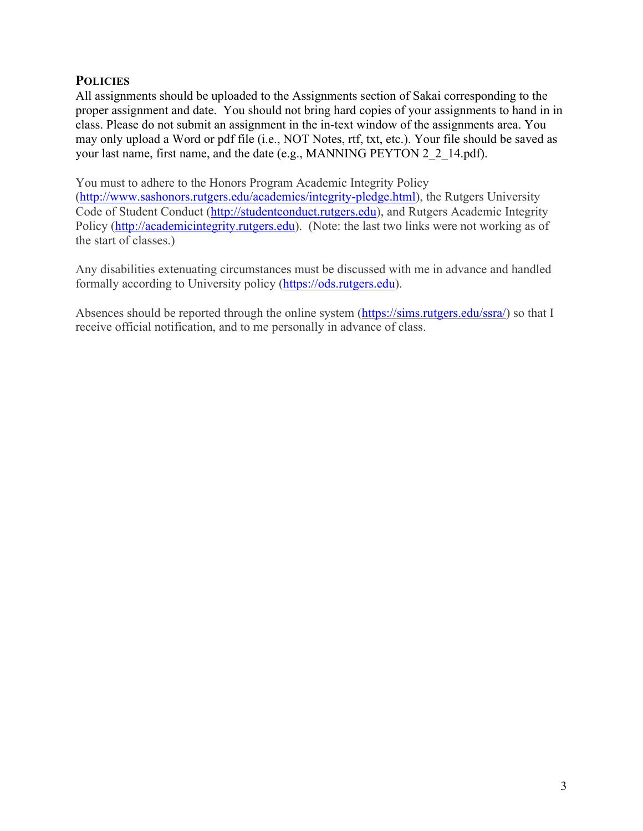## **POLICIES**

All assignments should be uploaded to the Assignments section of Sakai corresponding to the proper assignment and date. You should not bring hard copies of your assignments to hand in in class. Please do not submit an assignment in the in-text window of the assignments area. You may only upload a Word or pdf file (i.e., NOT Notes, rtf, txt, etc.). Your file should be saved as your last name, first name, and the date (e.g., MANNING PEYTON 2\_2\_14.pdf).

You must to adhere to the Honors Program Academic Integrity Policy

(http://www.sashonors.rutgers.edu/academics/integrity-pledge.html), the Rutgers University Code of Student Conduct (http://studentconduct.rutgers.edu), and Rutgers Academic Integrity Policy (http://academicintegrity.rutgers.edu). (Note: the last two links were not working as of the start of classes.)

Any disabilities extenuating circumstances must be discussed with me in advance and handled formally according to University policy (https://ods.rutgers.edu).

Absences should be reported through the online system (https://sims.rutgers.edu/ssra/) so that I receive official notification, and to me personally in advance of class.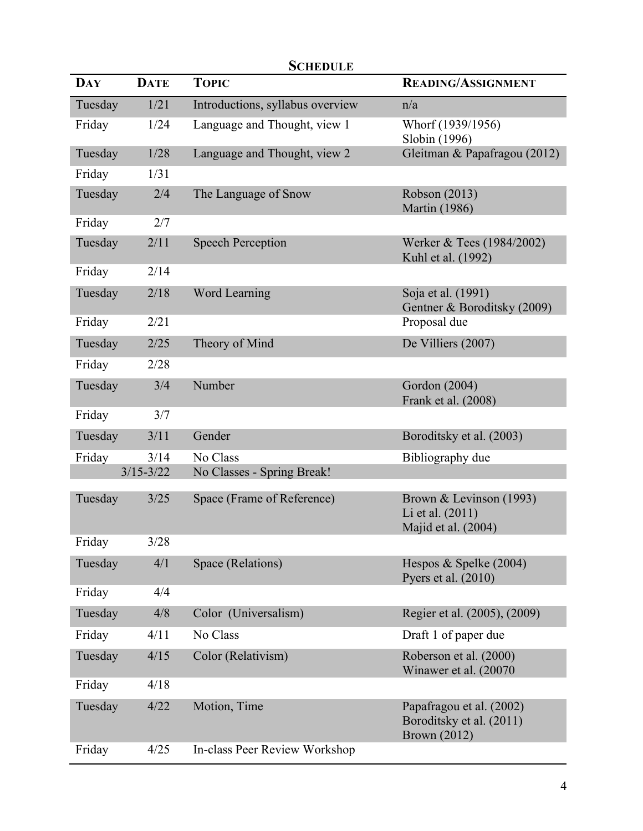| <b>DAY</b> | <b>DATE</b>   | SCHEDULE<br><b>TOPIC</b>         | <b>READING/ASSIGNMENT</b>                                                   |
|------------|---------------|----------------------------------|-----------------------------------------------------------------------------|
| Tuesday    | 1/21          | Introductions, syllabus overview | n/a                                                                         |
| Friday     | 1/24          | Language and Thought, view 1     | Whorf (1939/1956)<br>Slobin (1996)                                          |
| Tuesday    | 1/28          | Language and Thought, view 2     | Gleitman & Papafragou (2012)                                                |
| Friday     | 1/31          |                                  |                                                                             |
| Tuesday    | 2/4           | The Language of Snow             | Robson (2013)<br><b>Martin</b> (1986)                                       |
| Friday     | 2/7           |                                  |                                                                             |
| Tuesday    | 2/11          | <b>Speech Perception</b>         | Werker & Tees (1984/2002)<br>Kuhl et al. (1992)                             |
| Friday     | 2/14          |                                  |                                                                             |
| Tuesday    | 2/18          | Word Learning                    | Soja et al. (1991)<br>Gentner & Boroditsky (2009)                           |
| Friday     | 2/21          |                                  | Proposal due                                                                |
| Tuesday    | 2/25          | Theory of Mind                   | De Villiers (2007)                                                          |
| Friday     | 2/28          |                                  |                                                                             |
| Tuesday    | 3/4           | Number                           | Gordon (2004)<br>Frank et al. (2008)                                        |
| Friday     | 3/7           |                                  |                                                                             |
| Tuesday    | 3/11          | Gender                           | Boroditsky et al. (2003)                                                    |
| Friday     | 3/14          | No Class                         | Bibliography due                                                            |
|            | $3/15 - 3/22$ | No Classes - Spring Break!       |                                                                             |
| Tuesday    | 3/25          | Space (Frame of Reference)       | Brown & Levinson (1993)<br>Li et al. (2011)<br>Majid et al. (2004)          |
| Friday     | 3/28          |                                  |                                                                             |
| Tuesday    | 4/1           | Space (Relations)                | Hespos & Spelke $(2004)$<br>Pyers et al. (2010)                             |
| Friday     | 4/4           |                                  |                                                                             |
| Tuesday    | 4/8           | Color (Universalism)             | Regier et al. (2005), (2009)                                                |
| Friday     | 4/11          | No Class                         | Draft 1 of paper due                                                        |
| Tuesday    | 4/15          | Color (Relativism)               | Roberson et al. (2000)<br>Winawer et al. (20070)                            |
| Friday     | 4/18          |                                  |                                                                             |
| Tuesday    | 4/22          | Motion, Time                     | Papafragou et al. (2002)<br>Boroditsky et al. (2011)<br><b>Brown (2012)</b> |
| Friday     | 4/25          | In-class Peer Review Workshop    |                                                                             |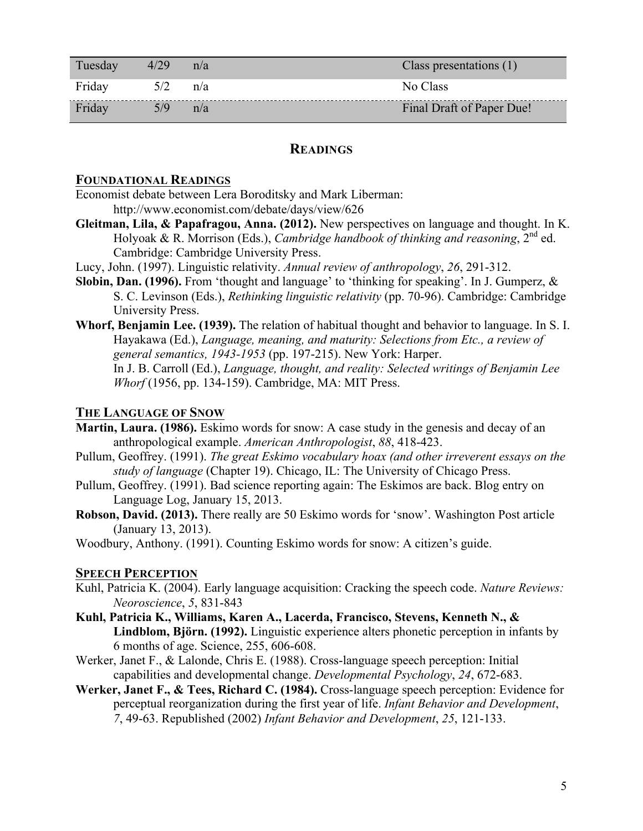| Tuesday | 4/29        | n/a | Class presentations (1)   |
|---------|-------------|-----|---------------------------|
| Friday  | $5/2$ $n/a$ |     | No Class                  |
| Friday  | 5/9         | n/a | Final Draft of Paper Due! |

### **READINGS**

### **FOUNDATIONAL READINGS**

Economist debate between Lera Boroditsky and Mark Liberman: http://www.economist.com/debate/days/view/626

- **Gleitman, Lila, & Papafragou, Anna. (2012).** New perspectives on language and thought. In K. Holyoak & R. Morrison (Eds.), *Cambridge handbook of thinking and reasoning*, 2nd ed. Cambridge: Cambridge University Press.
- Lucy, John. (1997). Linguistic relativity. *Annual review of anthropology*, *26*, 291-312.
- **Slobin, Dan. (1996).** From 'thought and language' to 'thinking for speaking'. In J. Gumperz, & S. C. Levinson (Eds.), *Rethinking linguistic relativity* (pp. 70-96). Cambridge: Cambridge University Press.
- **Whorf, Benjamin Lee. (1939).** The relation of habitual thought and behavior to language. In S. I. Hayakawa (Ed.), *Language, meaning, and maturity: Selections from Etc., a review of general semantics, 1943-1953* (pp. 197-215). New York: Harper. In J. B. Carroll (Ed.), *Language, thought, and reality: Selected writings of Benjamin Lee*

*Whorf* (1956, pp. 134-159). Cambridge, MA: MIT Press.

## **THE LANGUAGE OF SNOW**

- **Martin, Laura. (1986).** Eskimo words for snow: A case study in the genesis and decay of an anthropological example. *American Anthropologist*, *88*, 418-423.
- Pullum, Geoffrey. (1991). *The great Eskimo vocabulary hoax (and other irreverent essays on the study of language* (Chapter 19). Chicago, IL: The University of Chicago Press.
- Pullum, Geoffrey. (1991). Bad science reporting again: The Eskimos are back. Blog entry on Language Log, January 15, 2013.
- **Robson, David. (2013).** There really are 50 Eskimo words for 'snow'. Washington Post article (January 13, 2013).

Woodbury, Anthony. (1991). Counting Eskimo words for snow: A citizen's guide.

#### **SPEECH PERCEPTION**

- Kuhl, Patricia K. (2004). Early language acquisition: Cracking the speech code. *Nature Reviews: Neoroscience*, *5*, 831-843
- **Kuhl, Patricia K., Williams, Karen A., Lacerda, Francisco, Stevens, Kenneth N., & Lindblom, Björn. (1992).** Linguistic experience alters phonetic perception in infants by 6 months of age. Science, 255, 606-608.
- Werker, Janet F., & Lalonde, Chris E. (1988). Cross-language speech perception: Initial capabilities and developmental change. *Developmental Psychology*, *24*, 672-683.
- **Werker, Janet F., & Tees, Richard C. (1984).** Cross-language speech perception: Evidence for perceptual reorganization during the first year of life. *Infant Behavior and Development*, *7*, 49-63. Republished (2002) *Infant Behavior and Development*, *25*, 121-133.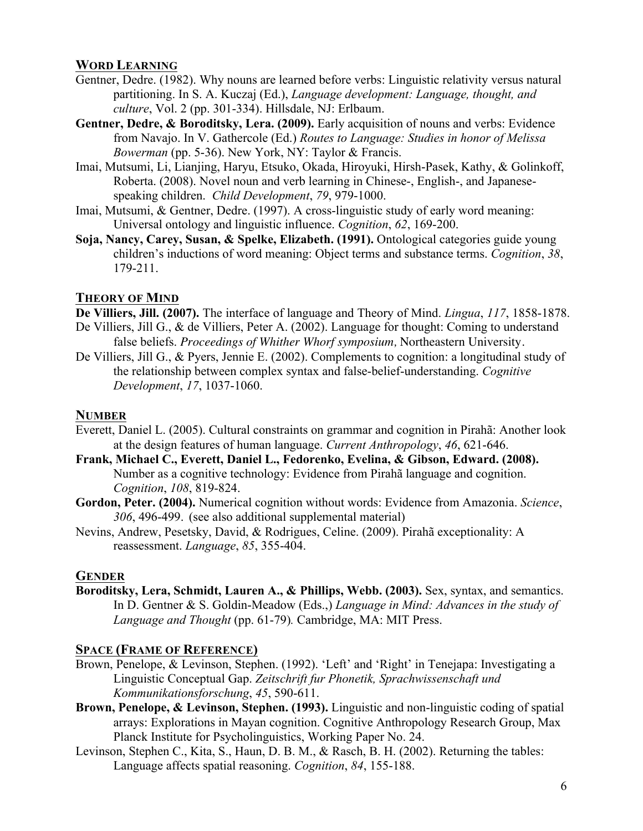## **WORD LEARNING**

- Gentner, Dedre. (1982). Why nouns are learned before verbs: Linguistic relativity versus natural partitioning. In S. A. Kuczaj (Ed.), *Language development: Language, thought, and culture*, Vol. 2 (pp. 301-334). Hillsdale, NJ: Erlbaum.
- **Gentner, Dedre, & Boroditsky, Lera. (2009).** Early acquisition of nouns and verbs: Evidence from Navajo. In V. Gathercole (Ed.) *Routes to Language: Studies in honor of Melissa Bowerman* (pp. 5-36). New York, NY: Taylor & Francis.
- Imai, Mutsumi, Li, Lianjing, Haryu, Etsuko, Okada, Hiroyuki, Hirsh-Pasek, Kathy, & Golinkoff, Roberta. (2008). Novel noun and verb learning in Chinese-, English-, and Japanesespeaking children. *Child Development*, *79*, 979-1000.
- Imai, Mutsumi, & Gentner, Dedre. (1997). A cross-linguistic study of early word meaning: Universal ontology and linguistic influence. *Cognition*, *62*, 169-200.
- **Soja, Nancy, Carey, Susan, & Spelke, Elizabeth. (1991).** Ontological categories guide young children's inductions of word meaning: Object terms and substance terms. *Cognition*, *38*, 179-211.

## **THEORY OF MIND**

**De Villiers, Jill. (2007).** The interface of language and Theory of Mind. *Lingua*, *117*, 1858-1878. De Villiers, Jill G., & de Villiers, Peter A. (2002). Language for thought: Coming to understand false beliefs. *Proceedings of Whither Whorf symposium,* Northeastern University.

De Villiers, Jill G., & Pyers, Jennie E. (2002). Complements to cognition: a longitudinal study of the relationship between complex syntax and false-belief-understanding. *Cognitive Development*, *17*, 1037-1060.

# **NUMBER**

- Everett, Daniel L. (2005). Cultural constraints on grammar and cognition in Pirahã: Another look at the design features of human language. *Current Anthropology*, *46*, 621-646.
- **Frank, Michael C., Everett, Daniel L., Fedorenko, Evelina, & Gibson, Edward. (2008).** Number as a cognitive technology: Evidence from Pirahã language and cognition. *Cognition*, *108*, 819-824.
- **Gordon, Peter. (2004).** Numerical cognition without words: Evidence from Amazonia. *Science*, *306*, 496-499. (see also additional supplemental material)
- Nevins, Andrew, Pesetsky, David, & Rodrigues, Celine. (2009). Pirahã exceptionality: A reassessment. *Language*, *85*, 355-404.

# **GENDER**

**Boroditsky, Lera, Schmidt, Lauren A., & Phillips, Webb. (2003).** Sex, syntax, and semantics. In D. Gentner & S. Goldin-Meadow (Eds.,) *Language in Mind: Advances in the study of Language and Thought* (pp. 61-79)*.* Cambridge, MA: MIT Press.

# **SPACE (FRAME OF REFERENCE)**

- Brown, Penelope, & Levinson, Stephen. (1992). 'Left' and 'Right' in Tenejapa: Investigating a Linguistic Conceptual Gap. *Zeitschrift fur Phonetik, Sprachwissenschaft und Kommunikationsforschung*, *45*, 590-611.
- **Brown, Penelope, & Levinson, Stephen. (1993).** Linguistic and non-linguistic coding of spatial arrays: Explorations in Mayan cognition. Cognitive Anthropology Research Group, Max Planck Institute for Psycholinguistics, Working Paper No. 24.
- Levinson, Stephen C., Kita, S., Haun, D. B. M., & Rasch, B. H. (2002). Returning the tables: Language affects spatial reasoning. *Cognition*, *84*, 155-188.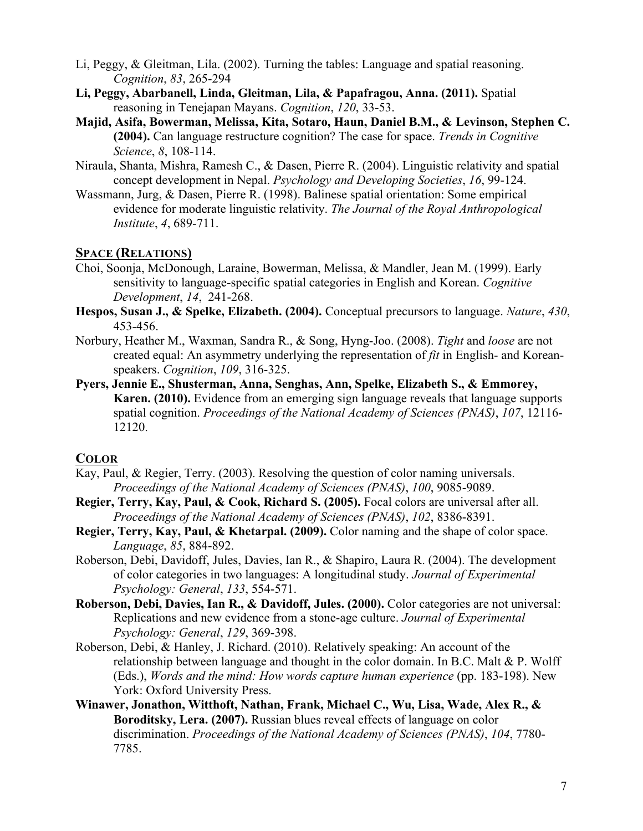- Li, Peggy, & Gleitman, Lila. (2002). Turning the tables: Language and spatial reasoning. *Cognition*, *83*, 265-294
- **Li, Peggy, Abarbanell, Linda, Gleitman, Lila, & Papafragou, Anna. (2011).** Spatial reasoning in Tenejapan Mayans. *Cognition*, *120*, 33-53.
- **Majid, Asifa, Bowerman, Melissa, Kita, Sotaro, Haun, Daniel B.M., & Levinson, Stephen C. (2004).** Can language restructure cognition? The case for space. *Trends in Cognitive Science*, *8*, 108-114.
- Niraula, Shanta, Mishra, Ramesh C., & Dasen, Pierre R. (2004). Linguistic relativity and spatial concept development in Nepal. *Psychology and Developing Societies*, *16*, 99-124.
- Wassmann, Jurg, & Dasen, Pierre R. (1998). Balinese spatial orientation: Some empirical evidence for moderate linguistic relativity. *The Journal of the Royal Anthropological Institute*, *4*, 689-711.

## **SPACE (RELATIONS)**

- Choi, Soonja, McDonough, Laraine, Bowerman, Melissa, & Mandler, Jean M. (1999). Early sensitivity to language-specific spatial categories in English and Korean. *Cognitive Development*, *14*, 241-268.
- **Hespos, Susan J., & Spelke, Elizabeth. (2004).** Conceptual precursors to language. *Nature*, *430*, 453-456.
- Norbury, Heather M., Waxman, Sandra R., & Song, Hyng-Joo. (2008). *Tight* and *loose* are not created equal: An asymmetry underlying the representation of *fit* in English- and Koreanspeakers. *Cognition*, *109*, 316-325.
- **Pyers, Jennie E., Shusterman, Anna, Senghas, Ann, Spelke, Elizabeth S., & Emmorey, Karen. (2010).** Evidence from an emerging sign language reveals that language supports spatial cognition. *Proceedings of the National Academy of Sciences (PNAS)*, *107*, 12116- 12120.

## **COLOR**

- Kay, Paul, & Regier, Terry. (2003). Resolving the question of color naming universals. *Proceedings of the National Academy of Sciences (PNAS)*, *100*, 9085-9089.
- **Regier, Terry, Kay, Paul, & Cook, Richard S. (2005).** Focal colors are universal after all. *Proceedings of the National Academy of Sciences (PNAS)*, *102*, 8386-8391.
- **Regier, Terry, Kay, Paul, & Khetarpal. (2009).** Color naming and the shape of color space. *Language*, *85*, 884-892.
- Roberson, Debi, Davidoff, Jules, Davies, Ian R., & Shapiro, Laura R. (2004). The development of color categories in two languages: A longitudinal study. *Journal of Experimental Psychology: General*, *133*, 554-571.
- **Roberson, Debi, Davies, Ian R., & Davidoff, Jules. (2000).** Color categories are not universal: Replications and new evidence from a stone-age culture. *Journal of Experimental Psychology: General*, *129*, 369-398.
- Roberson, Debi, & Hanley, J. Richard. (2010). Relatively speaking: An account of the relationship between language and thought in the color domain. In B.C. Malt  $& P$ . Wolff (Eds.), *Words and the mind: How words capture human experience* (pp. 183-198). New York: Oxford University Press.
- **Winawer, Jonathon, Witthoft, Nathan, Frank, Michael C., Wu, Lisa, Wade, Alex R., & Boroditsky, Lera. (2007).** Russian blues reveal effects of language on color discrimination. *Proceedings of the National Academy of Sciences (PNAS)*, *104*, 7780- 7785.